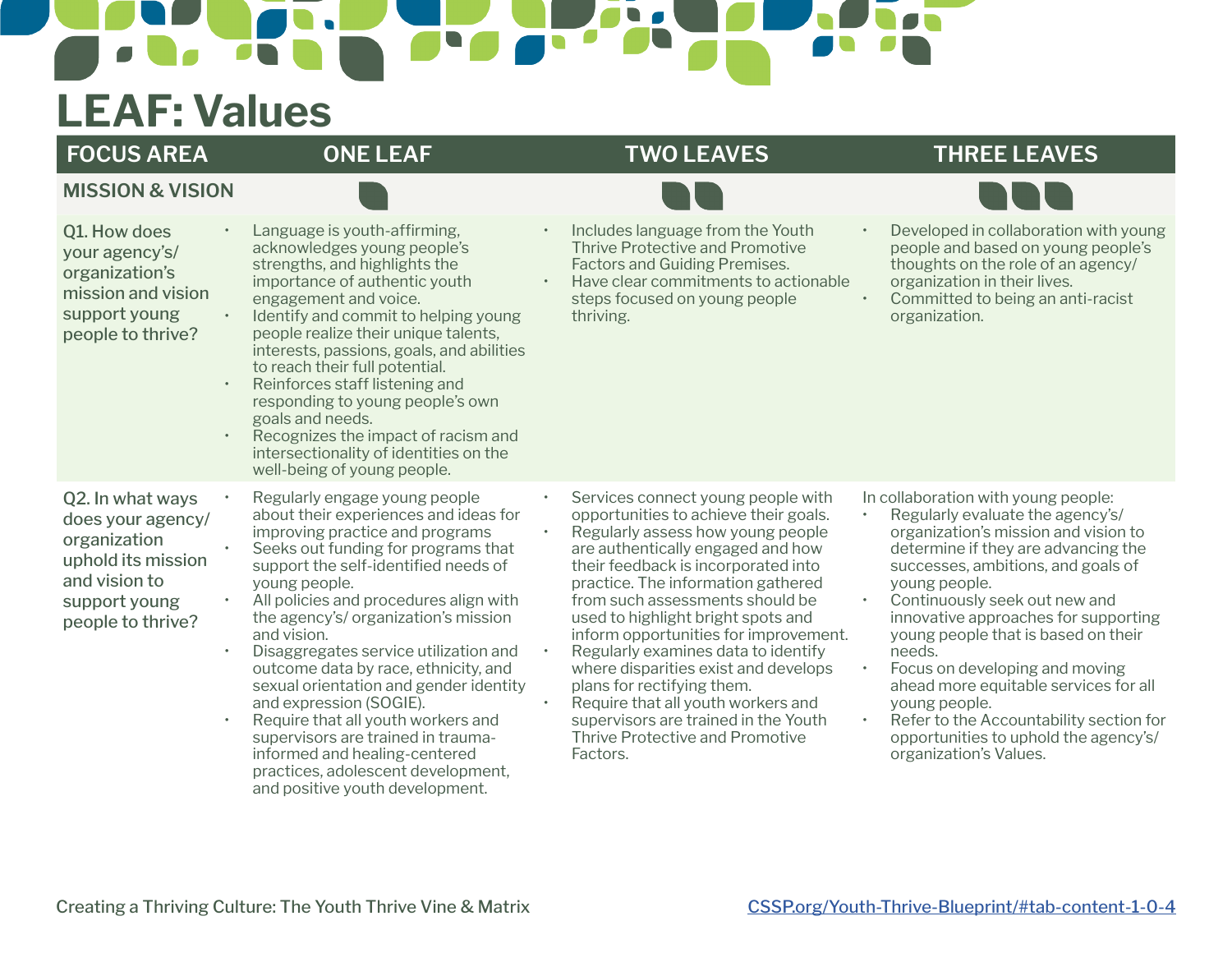## $\sqrt{2}$

## **LEAF: Values**

**MISSION & VISION**

### **FOCUS AREA ONE LEAF TWO LEAVES THREE LEAVES**



| Q1. How does<br>your agency's/<br>organization's<br>mission and vision<br>support young<br>people to thrive?                       | $\bullet$ | Language is youth-affirming,<br>acknowledges young people's<br>strengths, and highlights the<br>importance of authentic youth<br>engagement and voice.<br>Identify and commit to helping young<br>people realize their unique talents,<br>interests, passions, goals, and abilities<br>to reach their full potential.<br>Reinforces staff listening and<br>responding to young people's own<br>goals and needs.<br>Recognizes the impact of racism and<br>intersectionality of identities on the<br>well-being of young people.                                                                                                                        | Includes language from the Youth<br>Thrive Protective and Promotive<br><b>Factors and Guiding Premises.</b><br>Have clear commitments to actionable<br>steps focused on young people<br>thriving.                                                                                                                                                                                                                                                                                                                                                                                              | $\bullet$                                        | Developed in collaboration with young<br>people and based on young people's<br>thoughts on the role of an agency/<br>organization in their lives.<br>Committed to being an anti-racist<br>organization.                                                                                                                                                                                                                                                                                                                                           |
|------------------------------------------------------------------------------------------------------------------------------------|-----------|--------------------------------------------------------------------------------------------------------------------------------------------------------------------------------------------------------------------------------------------------------------------------------------------------------------------------------------------------------------------------------------------------------------------------------------------------------------------------------------------------------------------------------------------------------------------------------------------------------------------------------------------------------|------------------------------------------------------------------------------------------------------------------------------------------------------------------------------------------------------------------------------------------------------------------------------------------------------------------------------------------------------------------------------------------------------------------------------------------------------------------------------------------------------------------------------------------------------------------------------------------------|--------------------------------------------------|---------------------------------------------------------------------------------------------------------------------------------------------------------------------------------------------------------------------------------------------------------------------------------------------------------------------------------------------------------------------------------------------------------------------------------------------------------------------------------------------------------------------------------------------------|
| Q2. In what ways<br>does your agency/<br>organization<br>uphold its mission<br>and vision to<br>support young<br>people to thrive? |           | Regularly engage young people<br>about their experiences and ideas for<br>improving practice and programs<br>Seeks out funding for programs that<br>support the self-identified needs of<br>young people.<br>All policies and procedures align with<br>the agency's/ organization's mission<br>and vision.<br>Disaggregates service utilization and<br>outcome data by race, ethnicity, and<br>sexual orientation and gender identity<br>and expression (SOGIE).<br>Require that all youth workers and<br>supervisors are trained in trauma-<br>informed and healing-centered<br>practices, adolescent development,<br>and positive youth development. | Services connect young people with<br>opportunities to achieve their goals.<br>Regularly assess how young people<br>are authentically engaged and how<br>their feedback is incorporated into<br>practice. The information gathered<br>from such assessments should be<br>used to highlight bright spots and<br>inform opportunities for improvement.<br>Regularly examines data to identify<br>where disparities exist and develops<br>plans for rectifying them.<br>Require that all youth workers and<br>supervisors are trained in the Youth<br>Thrive Protective and Promotive<br>Factors. | $\bullet$<br>$\bullet$<br>$\bullet$<br>$\bullet$ | In collaboration with young people:<br>Regularly evaluate the agency's/<br>organization's mission and vision to<br>determine if they are advancing the<br>successes, ambitions, and goals of<br>young people.<br>Continuously seek out new and<br>innovative approaches for supporting<br>young people that is based on their<br>needs.<br>Focus on developing and moving<br>ahead more equitable services for all<br>young people.<br>Refer to the Accountability section for<br>opportunities to uphold the agency's/<br>organization's Values. |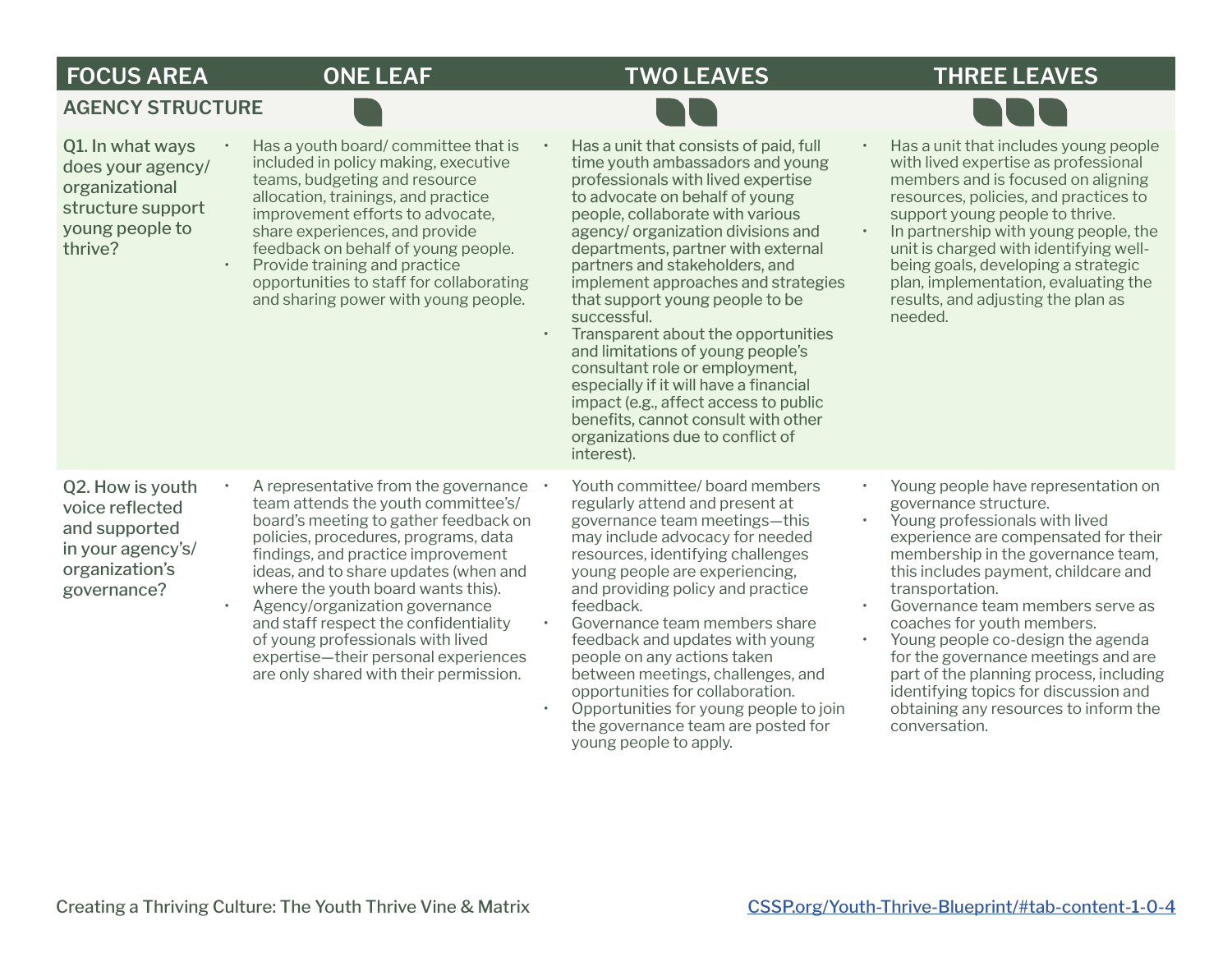## **FOCUS AREA ONE LEAF TWO LEAVES THREE LEAVES**

### **AGENCY STRUCTURE**

| Q1. In what ways<br>does your agency/<br>organizational<br>structure support<br>young people to<br>thrive? | Has a youth board/committee that is<br>included in policy making, executive<br>teams, budgeting and resource<br>allocation, trainings, and practice<br>improvement efforts to advocate,<br>share experiences, and provide<br>feedback on behalf of young people.<br>Provide training and practice<br>opportunities to staff for collaborating<br>and sharing power with young people.                                                                                               | Has a unit that consists of paid, full<br>time youth ambassadors and young<br>professionals with lived expertise<br>to advocate on behalf of young<br>people, collaborate with various<br>agency/ organization divisions and<br>departments, partner with external<br>partners and stakeholders, and<br>implement approaches and strategies<br>that support young people to be<br>successful.<br>Transparent about the opportunities<br>and limitations of young people's<br>consultant role or employment,<br>especially if it will have a financial<br>impact (e.g., affect access to public<br>benefits, cannot consult with other<br>organizations due to conflict of<br>interest). | Has a unit that includes young people<br>$\bullet$<br>with lived expertise as professional<br>members and is focused on aligning<br>resources, policies, and practices to<br>support young people to thrive.<br>In partnership with young people, the<br>$\bullet$<br>unit is charged with identifying well-<br>being goals, developing a strategic<br>plan, implementation, evaluating the<br>results, and adjusting the plan as<br>needed.                                                                                                                                            |
|------------------------------------------------------------------------------------------------------------|-------------------------------------------------------------------------------------------------------------------------------------------------------------------------------------------------------------------------------------------------------------------------------------------------------------------------------------------------------------------------------------------------------------------------------------------------------------------------------------|-----------------------------------------------------------------------------------------------------------------------------------------------------------------------------------------------------------------------------------------------------------------------------------------------------------------------------------------------------------------------------------------------------------------------------------------------------------------------------------------------------------------------------------------------------------------------------------------------------------------------------------------------------------------------------------------|-----------------------------------------------------------------------------------------------------------------------------------------------------------------------------------------------------------------------------------------------------------------------------------------------------------------------------------------------------------------------------------------------------------------------------------------------------------------------------------------------------------------------------------------------------------------------------------------|
| Q2. How is youth<br>voice reflected<br>and supported<br>in your agency's/<br>organization's<br>governance? | A representative from the governance<br>team attends the youth committee's/<br>board's meeting to gather feedback on<br>policies, procedures, programs, data<br>findings, and practice improvement<br>ideas, and to share updates (when and<br>where the youth board wants this).<br>Agency/organization governance<br>and staff respect the confidentiality<br>of young professionals with lived<br>expertise-their personal experiences<br>are only shared with their permission. | Youth committee/ board members<br>regularly attend and present at<br>governance team meetings-this<br>may include advocacy for needed<br>resources, identifying challenges<br>young people are experiencing,<br>and providing policy and practice<br>feedback.<br>Governance team members share<br>feedback and updates with young<br>people on any actions taken<br>between meetings, challenges, and<br>opportunities for collaboration.<br>Opportunities for young people to join<br>the governance team are posted for<br>young people to apply.                                                                                                                                    | Young people have representation on<br>$\bullet$<br>governance structure.<br>Young professionals with lived<br>$\bullet$<br>experience are compensated for their<br>membership in the governance team,<br>this includes payment, childcare and<br>transportation.<br>Governance team members serve as<br>$\bullet$<br>coaches for youth members.<br>Young people co-design the agenda<br>$\bullet$<br>for the governance meetings and are<br>part of the planning process, including<br>identifying topics for discussion and<br>obtaining any resources to inform the<br>conversation. |